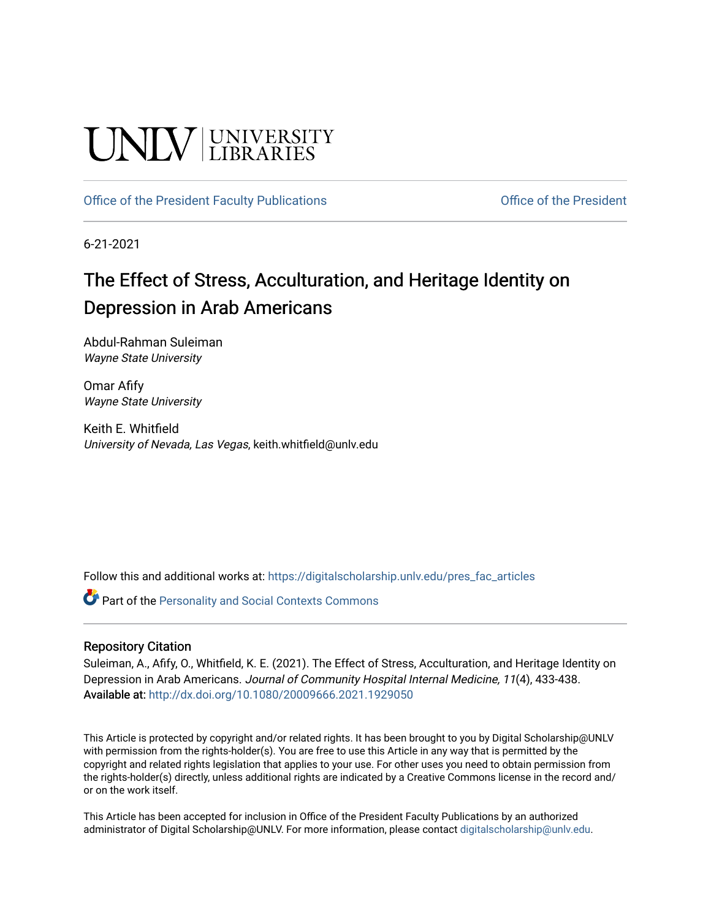# **UNIVERSITY**

## [Office of the President Faculty Publications](https://digitalscholarship.unlv.edu/pres_fac_articles) **Office of the President**

6-21-2021

# The Effect of Stress, Acculturation, and Heritage Identity on Depression in Arab Americans

Abdul-Rahman Suleiman Wayne State University

Omar Afify Wayne State University

Keith E. Whitfield University of Nevada, Las Vegas, keith.whitfield@unlv.edu

Follow this and additional works at: [https://digitalscholarship.unlv.edu/pres\\_fac\\_articles](https://digitalscholarship.unlv.edu/pres_fac_articles?utm_source=digitalscholarship.unlv.edu%2Fpres_fac_articles%2F2&utm_medium=PDF&utm_campaign=PDFCoverPages)

Part of the [Personality and Social Contexts Commons](http://network.bepress.com/hgg/discipline/413?utm_source=digitalscholarship.unlv.edu%2Fpres_fac_articles%2F2&utm_medium=PDF&utm_campaign=PDFCoverPages)

### Repository Citation

Suleiman, A., Afify, O., Whitfield, K. E. (2021). The Effect of Stress, Acculturation, and Heritage Identity on Depression in Arab Americans. Journal of Community Hospital Internal Medicine, 11(4), 433-438. Available at: <http://dx.doi.org/10.1080/20009666.2021.1929050>

This Article is protected by copyright and/or related rights. It has been brought to you by Digital Scholarship@UNLV with permission from the rights-holder(s). You are free to use this Article in any way that is permitted by the copyright and related rights legislation that applies to your use. For other uses you need to obtain permission from the rights-holder(s) directly, unless additional rights are indicated by a Creative Commons license in the record and/ or on the work itself.

This Article has been accepted for inclusion in Office of the President Faculty Publications by an authorized administrator of Digital Scholarship@UNLV. For more information, please contact [digitalscholarship@unlv.edu.](mailto:digitalscholarship@unlv.edu)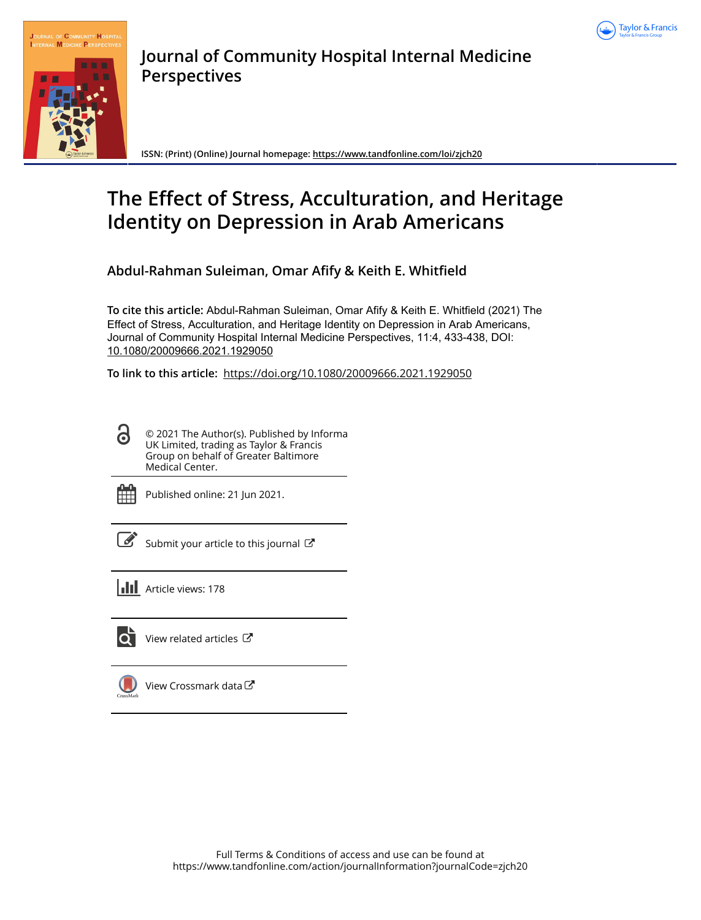



**Journal of Community Hospital Internal Medicine Perspectives**

**ISSN: (Print) (Online) Journal homepage:<https://www.tandfonline.com/loi/zjch20>**

# **The Effect of Stress, Acculturation, and Heritage Identity on Depression in Arab Americans**

**Abdul-Rahman Suleiman, Omar Afify & Keith E. Whitfield**

**To cite this article:** Abdul-Rahman Suleiman, Omar Afify & Keith E. Whitfield (2021) The Effect of Stress, Acculturation, and Heritage Identity on Depression in Arab Americans, Journal of Community Hospital Internal Medicine Perspectives, 11:4, 433-438, DOI: [10.1080/20009666.2021.1929050](https://www.tandfonline.com/action/showCitFormats?doi=10.1080/20009666.2021.1929050)

**To link to this article:** <https://doi.org/10.1080/20009666.2021.1929050>

8 © 2021 The Author(s). Published by Informa UK Limited, trading as Taylor & Francis Group on behalf of Greater Baltimore Medical Center.



Published online: 21 Jun 2021.

 $\overline{\mathscr{L}}$  [Submit your article to this journal](https://www.tandfonline.com/action/authorSubmission?journalCode=zjch20&show=instructions)  $\mathbb{Z}$ 

**III** Article views: 178



[View related articles](https://www.tandfonline.com/doi/mlt/10.1080/20009666.2021.1929050) C



[View Crossmark data](http://crossmark.crossref.org/dialog/?doi=10.1080/20009666.2021.1929050&domain=pdf&date_stamp=2021-06-21)<sup>C</sup>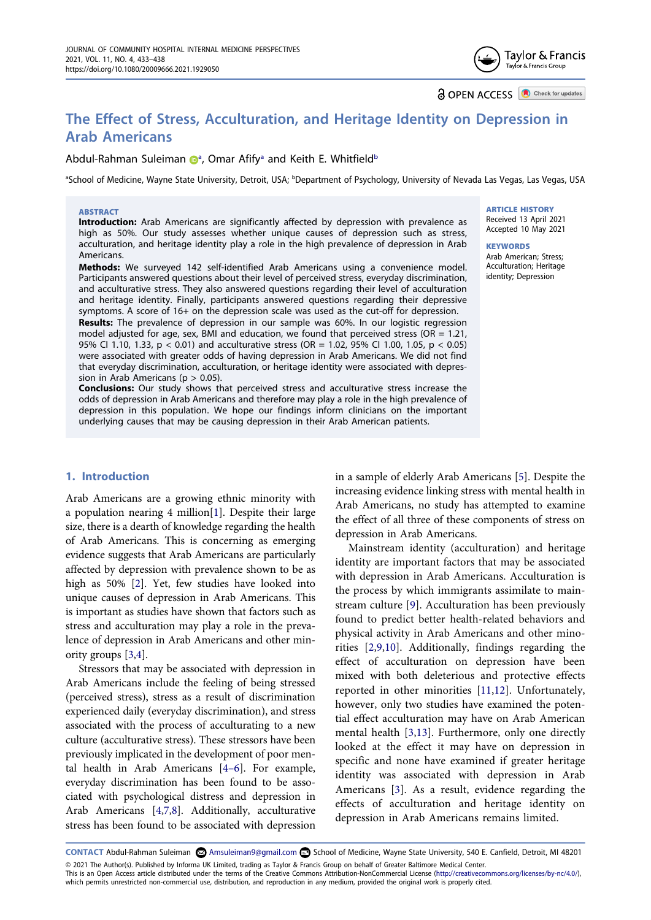**a** OPEN ACCESS **D** Check for updates

# **The Effect of Stress, Acculturation, and Heritage Identity on Depression in Arab Americans**

#### Abdul-Rahma[n](http://orcid.org/0000-0002-4540-4741) Suleim[a](#page-2-0)n D<sup>a</sup>, Omar Afify<sup>a</sup> and Keith E. Whitfield<sup>b</sup>

<span id="page-2-0"></span>ªSchool of Medicine, Wayne State University, Detroit, USA; <sup>b</sup>Department of Psychology, University of Nevada Las Vegas, Las Vegas, USA

#### **ABSTRACT**

**Introduction:** Arab Americans are significantly affected by depression with prevalence as high as 50%. Our study assesses whether unique causes of depression such as stress, acculturation, and heritage identity play a role in the high prevalence of depression in Arab Americans.

**Methods:** We surveyed 142 self-identified Arab Americans using a convenience model. Participants answered questions about their level of perceived stress, everyday discrimination, and acculturative stress. They also answered questions regarding their level of acculturation and heritage identity. Finally, participants answered questions regarding their depressive symptoms. A score of 16+ on the depression scale was used as the cut-off for depression.

**Results:** The prevalence of depression in our sample was 60%. In our logistic regression model adjusted for age, sex, BMI and education, we found that perceived stress (OR = 1.21, 95% CI 1.10, 1.33, p < 0.01) and acculturative stress (OR = 1.02, 95% CI 1.00, 1.05, p < 0.05) were associated with greater odds of having depression in Arab Americans. We did not find that everyday discrimination, acculturation, or heritage identity were associated with depression in Arab Americans ( $p > 0.05$ ).

**Conclusions:** Our study shows that perceived stress and acculturative stress increase the odds of depression in Arab Americans and therefore may play a role in the high prevalence of depression in this population. We hope our findings inform clinicians on the important underlying causes that may be causing depression in their Arab American patients.

#### **1. Introduction**

Arab Americans are a growing ethnic minority with a population nearing 4 million[\[1](#page-6-0)]. Despite their large size, there is a dearth of knowledge regarding the health of Arab Americans. This is concerning as emerging evidence suggests that Arab Americans are particularly affected by depression with prevalence shown to be as high as 50% [[2\]](#page-6-1). Yet, few studies have looked into unique causes of depression in Arab Americans. This is important as studies have shown that factors such as stress and acculturation may play a role in the prevalence of depression in Arab Americans and other minority groups [\[3](#page-6-2)[,4](#page-6-3)].

Stressors that may be associated with depression in Arab Americans include the feeling of being stressed (perceived stress), stress as a result of discrimination experienced daily (everyday discrimination), and stress associated with the process of acculturating to a new culture (acculturative stress). These stressors have been previously implicated in the development of poor mental health in Arab Americans [[4–6](#page-6-3)]. For example, everyday discrimination has been found to be associated with psychological distress and depression in Arab Americans [[4,](#page-6-3)[7,](#page-6-4)[8\]](#page-6-5). Additionally, acculturative stress has been found to be associated with depression

**ARTICLE HISTORY** Received 13 April 2021 Accepted 10 May 2021

**KEYWORDS** Arab American; Stress; Acculturation; Heritage identity; Depression

in a sample of elderly Arab Americans [\[5](#page-6-6)]. Despite the increasing evidence linking stress with mental health in Arab Americans, no study has attempted to examine the effect of all three of these components of stress on depression in Arab Americans.

Mainstream identity (acculturation) and heritage identity are important factors that may be associated with depression in Arab Americans. Acculturation is the process by which immigrants assimilate to mainstream culture [\[9](#page-6-7)]. Acculturation has been previously found to predict better health-related behaviors and physical activity in Arab Americans and other minorities [\[2](#page-6-1),[9,](#page-6-7)[10](#page-6-8)]. Additionally, findings regarding the effect of acculturation on depression have been mixed with both deleterious and protective effects reported in other minorities [[11,](#page-6-9)[12](#page-6-10)]. Unfortunately, however, only two studies have examined the potential effect acculturation may have on Arab American mental health [\[3](#page-6-2),[13\]](#page-6-11). Furthermore, only one directly looked at the effect it may have on depression in specific and none have examined if greater heritage identity was associated with depression in Arab Americans [\[3](#page-6-2)]. As a result, evidence regarding the effects of acculturation and heritage identity on depression in Arab Americans remains limited.

**CONTACT** Abdul-Rahman Suleiman **&** Amsuleiman9@gmail.com **B** School of Medicine, Wayne State University, 540 E. Canfield, Detroit, MI 48201 © 2021 The Author(s). Published by Informa UK Limited, trading as Taylor & Francis Group on behalf of Greater Baltimore Medical Center.

This is an Open Access article distributed under the terms of the Creative Commons Attribution-NonCommercial License (http://creativecommons.org/licenses/by-nc/4.0/), which permits unrestricted non-commercial use, distribution, and reproduction in any medium, provided the original work is properly cited.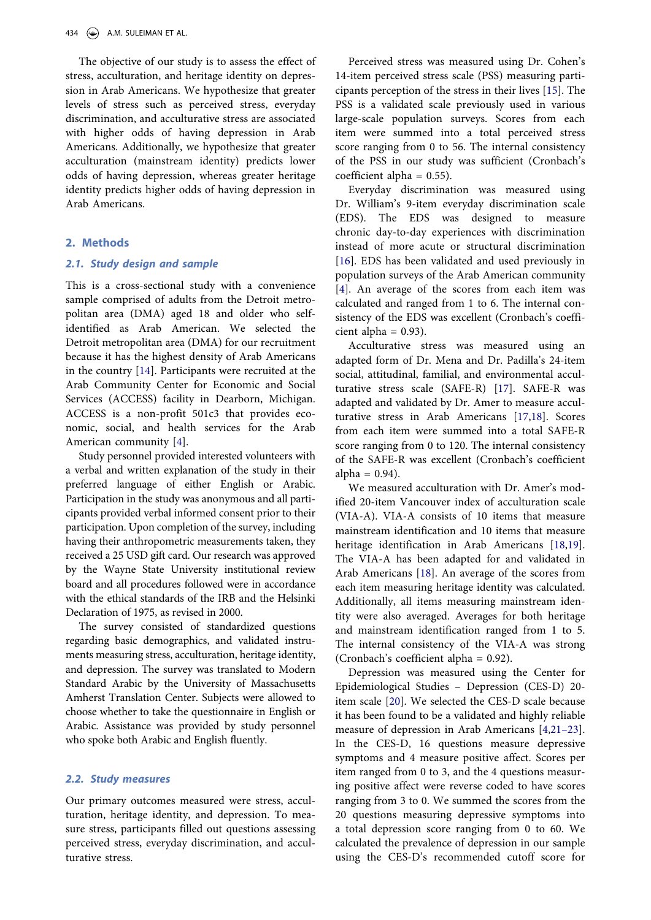The objective of our study is to assess the effect of stress, acculturation, and heritage identity on depression in Arab Americans. We hypothesize that greater levels of stress such as perceived stress, everyday discrimination, and acculturative stress are associated with higher odds of having depression in Arab Americans. Additionally, we hypothesize that greater acculturation (mainstream identity) predicts lower odds of having depression, whereas greater heritage identity predicts higher odds of having depression in Arab Americans.

#### **2. Methods**

#### *2.1. Study design and sample*

This is a cross-sectional study with a convenience sample comprised of adults from the Detroit metropolitan area (DMA) aged 18 and older who selfidentified as Arab American. We selected the Detroit metropolitan area (DMA) for our recruitment because it has the highest density of Arab Americans in the country [[14\]](#page-6-12). Participants were recruited at the Arab Community Center for Economic and Social Services (ACCESS) facility in Dearborn, Michigan. ACCESS is a non-profit 501c3 that provides economic, social, and health services for the Arab American community [[4\]](#page-6-3).

Study personnel provided interested volunteers with a verbal and written explanation of the study in their preferred language of either English or Arabic. Participation in the study was anonymous and all participants provided verbal informed consent prior to their participation. Upon completion of the survey, including having their anthropometric measurements taken, they received a 25 USD gift card. Our research was approved by the Wayne State University institutional review board and all procedures followed were in accordance with the ethical standards of the IRB and the Helsinki Declaration of 1975, as revised in 2000.

The survey consisted of standardized questions regarding basic demographics, and validated instruments measuring stress, acculturation, heritage identity, and depression. The survey was translated to Modern Standard Arabic by the University of Massachusetts Amherst Translation Center. Subjects were allowed to choose whether to take the questionnaire in English or Arabic. Assistance was provided by study personnel who spoke both Arabic and English fluently.

#### *2.2. Study measures*

Our primary outcomes measured were stress, acculturation, heritage identity, and depression. To measure stress, participants filled out questions assessing perceived stress, everyday discrimination, and acculturative stress.

Perceived stress was measured using Dr. Cohen's 14-item perceived stress scale (PSS) measuring participants perception of the stress in their lives [[15\]](#page-6-13). The PSS is a validated scale previously used in various large-scale population surveys. Scores from each item were summed into a total perceived stress score ranging from 0 to 56. The internal consistency of the PSS in our study was sufficient (Cronbach's coefficient alpha =  $0.55$ ).

Everyday discrimination was measured using Dr. William's 9-item everyday discrimination scale (EDS). The EDS was designed to measure chronic day-to-day experiences with discrimination instead of more acute or structural discrimination [\[16](#page-6-14)]. EDS has been validated and used previously in population surveys of the Arab American community [\[4](#page-6-3)]. An average of the scores from each item was calculated and ranged from 1 to 6. The internal consistency of the EDS was excellent (Cronbach's coefficient alpha  $= 0.93$ ).

Acculturative stress was measured using an adapted form of Dr. Mena and Dr. Padilla's 24-item social, attitudinal, familial, and environmental acculturative stress scale (SAFE-R) [\[17\]](#page-6-15). SAFE-R was adapted and validated by Dr. Amer to measure acculturative stress in Arab Americans [\[17](#page-6-15),[18\]](#page-6-16). Scores from each item were summed into a total SAFE-R score ranging from 0 to 120. The internal consistency of the SAFE-R was excellent (Cronbach's coefficient alpha =  $0.94$ ).

We measured acculturation with Dr. Amer's modified 20-item Vancouver index of acculturation scale (VIA-A). VIA-A consists of 10 items that measure mainstream identification and 10 items that measure heritage identification in Arab Americans [[18,](#page-6-16)[19](#page-6-17)]. The VIA-A has been adapted for and validated in Arab Americans [\[18](#page-6-16)]. An average of the scores from each item measuring heritage identity was calculated. Additionally, all items measuring mainstream identity were also averaged. Averages for both heritage and mainstream identification ranged from 1 to 5. The internal consistency of the VIA-A was strong (Cronbach's coefficient alpha = 0.92).

Depression was measured using the Center for Epidemiological Studies – Depression (CES-D) 20 item scale [\[20](#page-6-18)]. We selected the CES-D scale because it has been found to be a validated and highly reliable measure of depression in Arab Americans [\[4](#page-6-3),[21–23](#page-6-19)]. In the CES-D, 16 questions measure depressive symptoms and 4 measure positive affect. Scores per item ranged from 0 to 3, and the 4 questions measuring positive affect were reverse coded to have scores ranging from 3 to 0. We summed the scores from the 20 questions measuring depressive symptoms into a total depression score ranging from 0 to 60. We calculated the prevalence of depression in our sample using the CES-D's recommended cutoff score for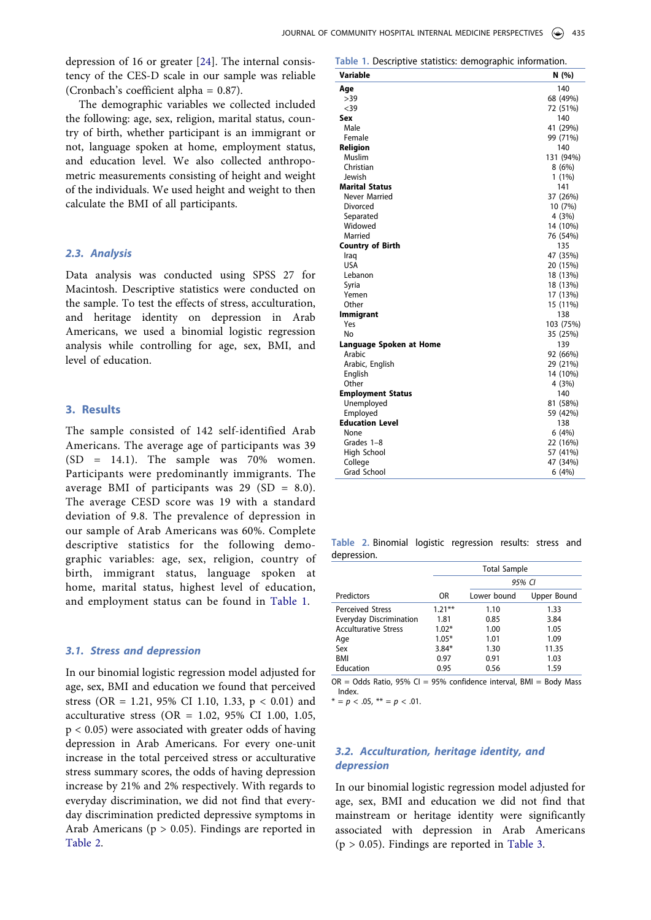depression of 16 or greater [\[24](#page-7-0)]. The internal consistency of the CES-D scale in our sample was reliable (Cronbach's coefficient alpha = 0.87).

The demographic variables we collected included the following: age, sex, religion, marital status, country of birth, whether participant is an immigrant or not, language spoken at home, employment status, and education level. We also collected anthropometric measurements consisting of height and weight of the individuals. We used height and weight to then calculate the BMI of all participants.

#### *2.3. Analysis*

Data analysis was conducted using SPSS 27 for Macintosh. Descriptive statistics were conducted on the sample. To test the effects of stress, acculturation, and heritage identity on depression in Arab Americans, we used a binomial logistic regression analysis while controlling for age, sex, BMI, and level of education.

#### **3. Results**

The sample consisted of 142 self-identified Arab Americans. The average age of participants was 39 (SD = 14.1). The sample was 70% women. Participants were predominantly immigrants. The average BMI of participants was  $29$  (SD = 8.0). The average CESD score was 19 with a standard deviation of 9.8. The prevalence of depression in our sample of Arab Americans was 60%. Complete descriptive statistics for the following demographic variables: age, sex, religion, country of birth, immigrant status, language spoken at home, marital status, highest level of education, and employment status can be found in [Table 1](#page-4-0).

#### *3.1. Stress and depression*

In our binomial logistic regression model adjusted for age, sex, BMI and education we found that perceived stress (OR = 1.21, 95% CI 1.10, 1.33,  $p < 0.01$ ) and acculturative stress (OR = 1.02, 95% CI 1.00, 1.05, p < 0.05) were associated with greater odds of having depression in Arab Americans. For every one-unit increase in the total perceived stress or acculturative stress summary scores, the odds of having depression increase by 21% and 2% respectively. With regards to everyday discrimination, we did not find that everyday discrimination predicted depressive symptoms in Arab Americans ( $p > 0.05$ ). Findings are reported in [Table 2](#page-4-1).

<span id="page-4-0"></span>**Table 1.** Descriptive statistics: demographic information.

| י יוכי<br>Variable       | N (%)     |
|--------------------------|-----------|
| Age                      | 140       |
| >39                      | 68 (49%)  |
| $39$                     | 72 (51%)  |
| Sex                      | 140       |
| Male                     | 41 (29%)  |
| Female                   | 99 (71%)  |
| Religion                 | 140       |
| Muslim                   | 131 (94%) |
| Christian                | 8(6%)     |
| Jewish                   | $1(1\%)$  |
| <b>Marital Status</b>    | 141       |
| Never Married            | 37 (26%)  |
| Divorced                 | 10 (7%)   |
| Separated                | 4(3%)     |
| Widowed                  | 14 (10%)  |
| Married                  | 76 (54%)  |
| <b>Country of Birth</b>  | 135       |
| Iraq                     | 47 (35%)  |
| <b>USA</b>               | 20 (15%)  |
| Lebanon                  | 18 (13%)  |
| Syria                    | 18 (13%)  |
| Yemen                    | 17 (13%)  |
| Other                    | 15 (11%)  |
| <b>Immigrant</b>         | 138       |
| Yes                      | 103 (75%) |
| No                       | 35 (25%)  |
| Language Spoken at Home  | 139       |
| Arabic                   | 92 (66%)  |
| Arabic, English          | 29 (21%)  |
| English                  | 14 (10%)  |
| Other                    | 4 (3%)    |
| <b>Employment Status</b> | 140       |
| Unemployed               | 81 (58%)  |
| Employed                 | 59 (42%)  |
| <b>Education Level</b>   | 138       |
| None                     | 6(4%)     |
| Grades 1-8               | 22 (16%)  |
| High School              | 57 (41%)  |
| College                  | 47 (34%)  |
| <b>Grad School</b>       | 6(4%)     |

<span id="page-4-1"></span>**Table 2.** Binomial logistic regression results: stress and depression.

|                                | <b>Total Sample</b> |             |             |  |
|--------------------------------|---------------------|-------------|-------------|--|
|                                |                     | 95% CI      |             |  |
| Predictors                     | OR                  | Lower bound | Upper Bound |  |
| <b>Perceived Stress</b>        | $1.21***$           | 1.10        | 1.33        |  |
| <b>Everyday Discrimination</b> | 1.81                | 0.85        | 3.84        |  |
| <b>Acculturative Stress</b>    | $1.02*$             | 1.00        | 1.05        |  |
| Age                            | $1.05*$             | 1.01        | 1.09        |  |
| Sex                            | $3.84*$             | 1.30        | 11.35       |  |
| <b>BMI</b>                     | 0.97                | 0.91        | 1.03        |  |
| Education                      | 0.95                | 0.56        | 1.59        |  |

 $OR = Odds$  Ratio, 95% CI = 95% confidence interval, BMI = Body Mass Index.

 $* = p < .05, ** = p < .01.$ 

## *3.2. Acculturation, heritage identity, and depression*

In our binomial logistic regression model adjusted for age, sex, BMI and education we did not find that mainstream or heritage identity were significantly associated with depression in Arab Americans  $(p > 0.05)$ . Findings are reported in [Table 3](#page-5-0).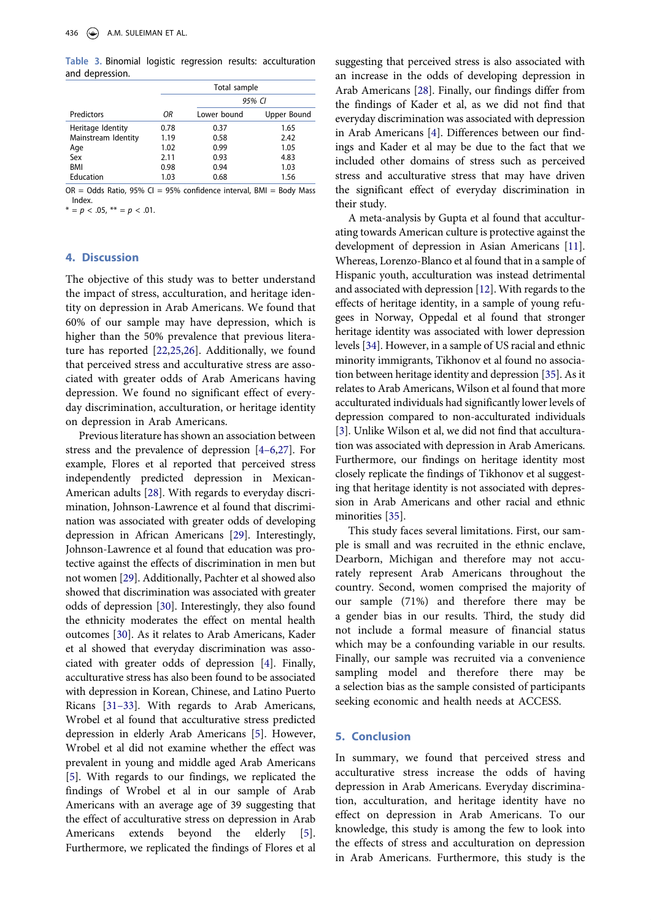<span id="page-5-0"></span>**Table 3.** Binomial logistic regression results: acculturation and depression.

|                     |      | Total sample |             |  |
|---------------------|------|--------------|-------------|--|
|                     |      | 95% CI       |             |  |
| Predictors          | ΟR   | Lower bound  | Upper Bound |  |
| Heritage Identity   | 0.78 | 0.37         | 1.65        |  |
| Mainstream Identity | 1.19 | 0.58         | 2.42        |  |
| Age                 | 1.02 | 0.99         | 1.05        |  |
| Sex                 | 2.11 | 0.93         | 4.83        |  |
| BMI                 | 0.98 | 0.94         | 1.03        |  |
| Education           | 1.03 | 0.68         | 1.56        |  |

 $OR = Odds$  Ratio, 95% CI = 95% confidence interval, BMI = Body Mass Index.

 $* = p < .05, ** = p < .01.$ 

#### **4. Discussion**

The objective of this study was to better understand the impact of stress, acculturation, and heritage identity on depression in Arab Americans. We found that 60% of our sample may have depression, which is higher than the 50% prevalence that previous literature has reported [\[22](#page-6-20),[25,](#page-7-1)[26](#page-7-2)]. Additionally, we found that perceived stress and acculturative stress are associated with greater odds of Arab Americans having depression. We found no significant effect of everyday discrimination, acculturation, or heritage identity on depression in Arab Americans.

Previous literature has shown an association between stress and the prevalence of depression [[4–6](#page-6-3)[,27](#page-7-3)]. For example, Flores et al reported that perceived stress independently predicted depression in Mexican-American adults [\[28\]](#page-7-4). With regards to everyday discrimination, Johnson-Lawrence et al found that discrimination was associated with greater odds of developing depression in African Americans [\[29](#page-7-5)]. Interestingly, Johnson-Lawrence et al found that education was protective against the effects of discrimination in men but not women [[29\]](#page-7-5). Additionally, Pachter et al showed also showed that discrimination was associated with greater odds of depression [\[30](#page-7-6)]. Interestingly, they also found the ethnicity moderates the effect on mental health outcomes [[30\]](#page-7-6). As it relates to Arab Americans, Kader et al showed that everyday discrimination was associated with greater odds of depression [[4\]](#page-6-3). Finally, acculturative stress has also been found to be associated with depression in Korean, Chinese, and Latino Puerto Ricans [\[31–33](#page-7-7)]. With regards to Arab Americans, Wrobel et al found that acculturative stress predicted depression in elderly Arab Americans [\[5](#page-6-6)]. However, Wrobel et al did not examine whether the effect was prevalent in young and middle aged Arab Americans [\[5](#page-6-6)]. With regards to our findings, we replicated the findings of Wrobel et al in our sample of Arab Americans with an average age of 39 suggesting that the effect of acculturative stress on depression in Arab Americans extends beyond the elderly [[5\]](#page-6-6). Furthermore, we replicated the findings of Flores et al

suggesting that perceived stress is also associated with an increase in the odds of developing depression in Arab Americans [\[28\]](#page-7-4). Finally, our findings differ from the findings of Kader et al, as we did not find that everyday discrimination was associated with depression in Arab Americans [\[4](#page-6-3)]. Differences between our findings and Kader et al may be due to the fact that we included other domains of stress such as perceived stress and acculturative stress that may have driven the significant effect of everyday discrimination in their study.

A meta-analysis by Gupta et al found that acculturating towards American culture is protective against the development of depression in Asian Americans [\[11](#page-6-9)]. Whereas, Lorenzo-Blanco et al found that in a sample of Hispanic youth, acculturation was instead detrimental and associated with depression [\[12](#page-6-10)]. With regards to the effects of heritage identity, in a sample of young refugees in Norway, Oppedal et al found that stronger heritage identity was associated with lower depression levels [[34](#page-7-8)]. However, in a sample of US racial and ethnic minority immigrants, Tikhonov et al found no association between heritage identity and depression [[35](#page-7-9)]. As it relates to Arab Americans, Wilson et al found that more acculturated individuals had significantly lower levels of depression compared to non-acculturated individuals [\[3](#page-6-2)]. Unlike Wilson et al, we did not find that acculturation was associated with depression in Arab Americans. Furthermore, our findings on heritage identity most closely replicate the findings of Tikhonov et al suggesting that heritage identity is not associated with depression in Arab Americans and other racial and ethnic minorities [[35](#page-7-9)].

This study faces several limitations. First, our sample is small and was recruited in the ethnic enclave, Dearborn, Michigan and therefore may not accurately represent Arab Americans throughout the country. Second, women comprised the majority of our sample (71%) and therefore there may be a gender bias in our results. Third, the study did not include a formal measure of financial status which may be a confounding variable in our results. Finally, our sample was recruited via a convenience sampling model and therefore there may be a selection bias as the sample consisted of participants seeking economic and health needs at ACCESS.

#### **5. Conclusion**

In summary, we found that perceived stress and acculturative stress increase the odds of having depression in Arab Americans. Everyday discrimination, acculturation, and heritage identity have no effect on depression in Arab Americans. To our knowledge, this study is among the few to look into the effects of stress and acculturation on depression in Arab Americans. Furthermore, this study is the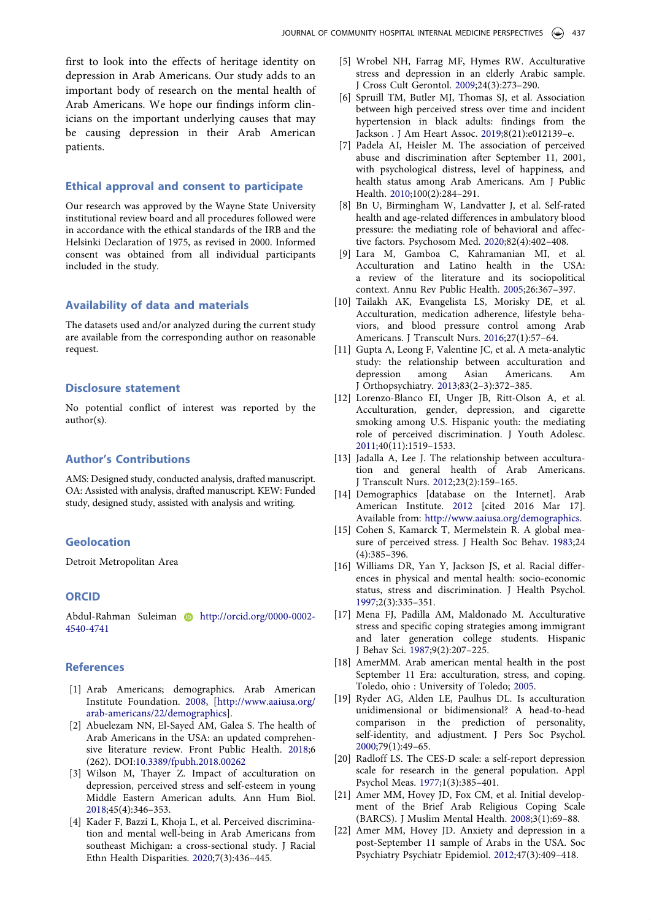first to look into the effects of heritage identity on depression in Arab Americans. Our study adds to an important body of research on the mental health of Arab Americans. We hope our findings inform clinicians on the important underlying causes that may be causing depression in their Arab American patients.

#### **Ethical approval and consent to participate**

Our research was approved by the Wayne State University institutional review board and all procedures followed were in accordance with the ethical standards of the IRB and the Helsinki Declaration of 1975, as revised in 2000. Informed consent was obtained from all individual participants included in the study.

#### **Availability of data and materials**

The datasets used and/or analyzed during the current study are available from the corresponding author on reasonable request.

#### **Disclosure statement**

No potential conflict of interest was reported by the author(s).

#### **Author's Contributions**

AMS: Designed study, conducted analysis, drafted manuscript. OA: Assisted with analysis, drafted manuscript. KEW: Funded study, designed study, assisted with analysis and writing.

#### **Geolocation**

Detroit Metropolitan Area

#### **ORCID**

Abdul-Rahman Suleiman **b** http://orcid.org/0000-0002-4540-4741

#### **References**

- <span id="page-6-0"></span>[1] Arab Americans; demographics. Arab American Institute Foundation. 2008, [[http://www.aaiusa.org/](http://www.aaiusa.org/arab-americans/22/demographics)  [arab-americans/22/demographics](http://www.aaiusa.org/arab-americans/22/demographics)].
- <span id="page-6-1"></span>[2] Abuelezam NN, El-Sayed AM, Galea S. The health of Arab Americans in the USA: an updated comprehensive literature review. Front Public Health. 2018;6 (262). DOI:[10.3389/fpubh.2018.00262](https://doi.org/10.3389/fpubh.2018.00262)
- <span id="page-6-2"></span>[3] Wilson M, Thayer Z. Impact of acculturation on depression, perceived stress and self-esteem in young Middle Eastern American adults. Ann Hum Biol. 2018;45(4):346–353.
- <span id="page-6-3"></span>[4] Kader F, Bazzi L, Khoja L, et al. Perceived discrimination and mental well-being in Arab Americans from southeast Michigan: a cross-sectional study. J Racial Ethn Health Disparities. 2020;7(3):436–445.
- <span id="page-6-6"></span>[5] Wrobel NH, Farrag MF, Hymes RW. Acculturative stress and depression in an elderly Arabic sample. J Cross Cult Gerontol. 2009;24(3):273–290.
- [6] Spruill TM, Butler MJ, Thomas SJ, et al. Association between high perceived stress over time and incident hypertension in black adults: findings from the Jackson . J Am Heart Assoc. 2019;8(21):e012139–e.
- <span id="page-6-4"></span>[7] Padela AI, Heisler M. The association of perceived abuse and discrimination after September 11, 2001, with psychological distress, level of happiness, and health status among Arab Americans. Am J Public Health. 2010;100(2):284–291.
- <span id="page-6-5"></span>[8] Bn U, Birmingham W, Landvatter J, et al. Self-rated health and age-related differences in ambulatory blood pressure: the mediating role of behavioral and affective factors. Psychosom Med. 2020;82(4):402–408.
- <span id="page-6-7"></span>[9] Lara M, Gamboa C, Kahramanian MI, et al. Acculturation and Latino health in the USA: a review of the literature and its sociopolitical context. Annu Rev Public Health. 2005;26:367–397.
- <span id="page-6-8"></span>[10] Tailakh AK, Evangelista LS, Morisky DE, et al. Acculturation, medication adherence, lifestyle behaviors, and blood pressure control among Arab Americans. J Transcult Nurs. 2016;27(1):57–64.
- <span id="page-6-9"></span>[11] Gupta A, Leong F, Valentine JC, et al. A meta-analytic study: the relationship between acculturation and depression among Asian Americans. Am J Orthopsychiatry. 2013;83(2–3):372–385.
- <span id="page-6-10"></span>[12] Lorenzo-Blanco EI, Unger JB, Ritt-Olson A, et al. Acculturation, gender, depression, and cigarette smoking among U.S. Hispanic youth: the mediating role of perceived discrimination. J Youth Adolesc. 2011;40(11):1519–1533.
- <span id="page-6-11"></span>[13] Jadalla A, Lee J. The relationship between acculturation and general health of Arab Americans. J Transcult Nurs. 2012;23(2):159–165.
- <span id="page-6-12"></span>[14] Demographics [database on the Internet]. Arab American Institute. 2012 [cited 2016 Mar 17]. Available from: <http://www.aaiusa.org/demographics>.
- <span id="page-6-13"></span>[15] Cohen S, Kamarck T, Mermelstein R. A global measure of perceived stress. J Health Soc Behav. 1983;24 (4):385–396.
- <span id="page-6-14"></span>[16] Williams DR, Yan Y, Jackson JS, et al. Racial differences in physical and mental health: socio-economic status, stress and discrimination. J Health Psychol. 1997;2(3):335–351.
- <span id="page-6-15"></span>[17] Mena FJ, Padilla AM, Maldonado M. Acculturative stress and specific coping strategies among immigrant and later generation college students. Hispanic J Behav Sci. 1987;9(2):207–225.
- <span id="page-6-16"></span>[18] AmerMM. Arab american mental health in the post September 11 Era: acculturation, stress, and coping. Toledo, ohio : University of Toledo; 2005.
- <span id="page-6-17"></span>[19] Ryder AG, Alden LE, Paulhus DL. Is acculturation unidimensional or bidimensional? A head-to-head comparison in the prediction of personality, self-identity, and adjustment. J Pers Soc Psychol. 2000;79(1):49–65.
- <span id="page-6-18"></span>[20] Radloff LS. The CES-D scale: a self-report depression scale for research in the general population. Appl Psychol Meas. 1977;1(3):385–401.
- <span id="page-6-19"></span>[21] Amer MM, Hovey JD, Fox CM, et al. Initial development of the Brief Arab Religious Coping Scale (BARCS). J Muslim Mental Health. 2008;3(1):69–88.
- <span id="page-6-20"></span>[22] Amer MM, Hovey JD. Anxiety and depression in a post-September 11 sample of Arabs in the USA. Soc Psychiatry Psychiatr Epidemiol. 2012;47(3):409–418.